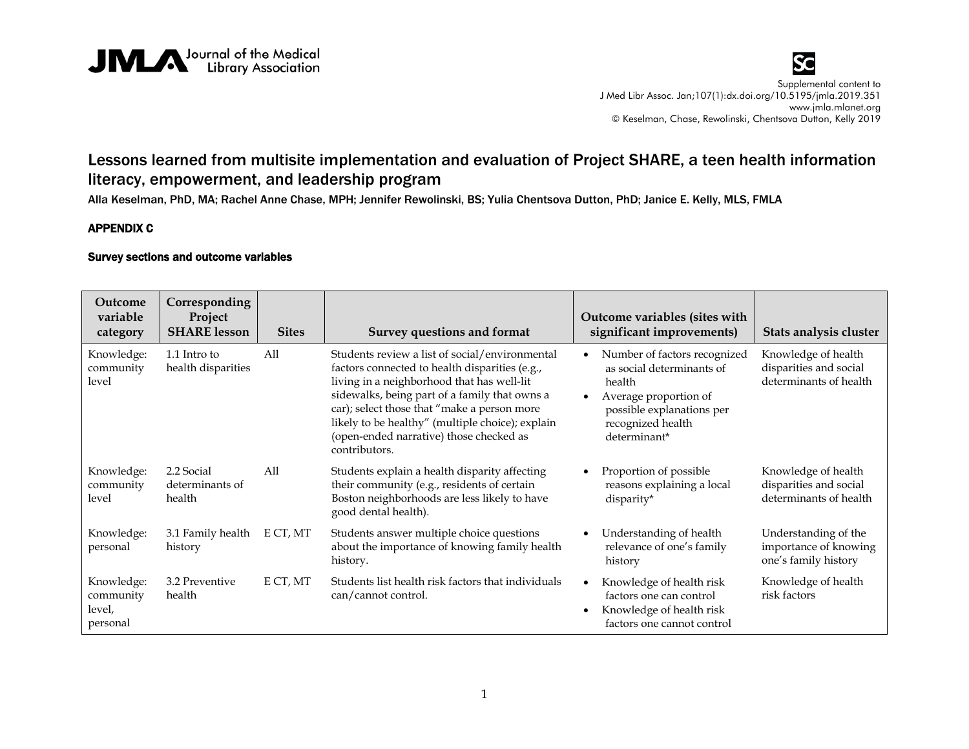



## Lessons learned from multisite implementation and evaluation of Project SHARE, a teen health information literacy, empowerment, and leadership program

Alla Keselman, PhD, MA; Rachel Anne Chase, MPH; Jennifer Rewolinski, BS; Yulia Chentsova Dutton, PhD; Janice E. Kelly, MLS, FMLA

## APPENDIX C

## Survey sections and outcome variables

| Outcome<br>variable<br>category               | Corresponding<br>Project<br><b>SHARE</b> lesson | <b>Sites</b> | Survey questions and format                                                                                                                                                                                                                                                                                                                                    |           | Outcome variables (sites with<br>significant improvements)                                                                                                     | Stats analysis cluster                                                  |
|-----------------------------------------------|-------------------------------------------------|--------------|----------------------------------------------------------------------------------------------------------------------------------------------------------------------------------------------------------------------------------------------------------------------------------------------------------------------------------------------------------------|-----------|----------------------------------------------------------------------------------------------------------------------------------------------------------------|-------------------------------------------------------------------------|
| Knowledge:<br>community<br>level              | 1.1 Intro to<br>health disparities              | All          | Students review a list of social/environmental<br>factors connected to health disparities (e.g.,<br>living in a neighborhood that has well-lit<br>sidewalks, being part of a family that owns a<br>car); select those that "make a person more<br>likely to be healthy" (multiple choice); explain<br>(open-ended narrative) those checked as<br>contributors. | $\bullet$ | Number of factors recognized<br>as social determinants of<br>health<br>Average proportion of<br>possible explanations per<br>recognized health<br>determinant* | Knowledge of health<br>disparities and social<br>determinants of health |
| Knowledge:<br>community<br>level              | 2.2 Social<br>determinants of<br>health         | All          | Students explain a health disparity affecting<br>their community (e.g., residents of certain<br>Boston neighborhoods are less likely to have<br>good dental health).                                                                                                                                                                                           |           | Proportion of possible<br>reasons explaining a local<br>disparity*                                                                                             | Knowledge of health<br>disparities and social<br>determinants of health |
| Knowledge:<br>personal                        | 3.1 Family health<br>history                    | E CT, MT     | Students answer multiple choice questions<br>about the importance of knowing family health<br>history.                                                                                                                                                                                                                                                         |           | Understanding of health<br>relevance of one's family<br>history                                                                                                | Understanding of the<br>importance of knowing<br>one's family history   |
| Knowledge:<br>community<br>level,<br>personal | 3.2 Preventive<br>health                        | E CT, MT     | Students list health risk factors that individuals<br>can/cannot control.                                                                                                                                                                                                                                                                                      |           | Knowledge of health risk<br>factors one can control<br>Knowledge of health risk<br>factors one cannot control                                                  | Knowledge of health<br>risk factors                                     |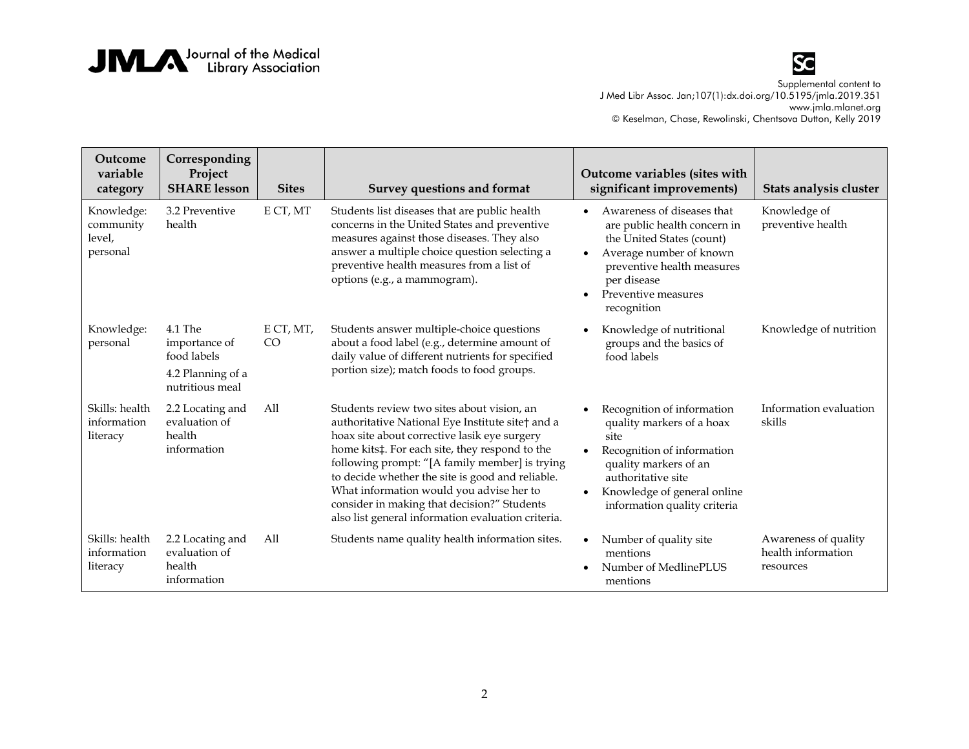



**Outcome variable category Corresponding Project SHARE lesson** Sites Survey questions and format **Outcome variables (sites with significant improvements) Stats analysis cluster** Knowledge: community level, personal 3.2 Preventive health E CT, MT Students list diseases that are public health concerns in the United States and preventive measures against those diseases. They also answer a multiple choice question selecting a preventive health measures from a list of options (e.g., a mammogram). • Awareness of diseases that are public health concern in the United States (count) • Average number of known preventive health measures per disease • Preventive measures recognition Knowledge of preventive health Knowledge: personal 4.1 The importance of food labels 4.2 Planning of a nutritious meal E CT, MT, CO Students answer multiple-choice questions about a food label (e.g., determine amount of daily value of different nutrients for specified portion size); match foods to food groups. • Knowledge of nutritional groups and the basics of food labels Knowledge of nutrition Skills: health information literacy 2.2 Locating and evaluation of health information All Students review two sites about vision, an authoritative National Eye Institute site† and a hoax site about corrective lasik eye surgery home kits‡. For each site, they respond to the following prompt: "[A family member] is trying to decide whether the site is good and reliable. What information would you advise her to consider in making that decision?" Students also list general information evaluation criteria. • Recognition of information quality markers of a hoax site • Recognition of information quality markers of an authoritative site • Knowledge of general online information quality criteria Information evaluation skills Skills: health information literacy 2.2 Locating and evaluation of health information All Students name quality health information sites. • Number of quality site mentions • Number of MedlinePLUS mentions Awareness of quality health information resources